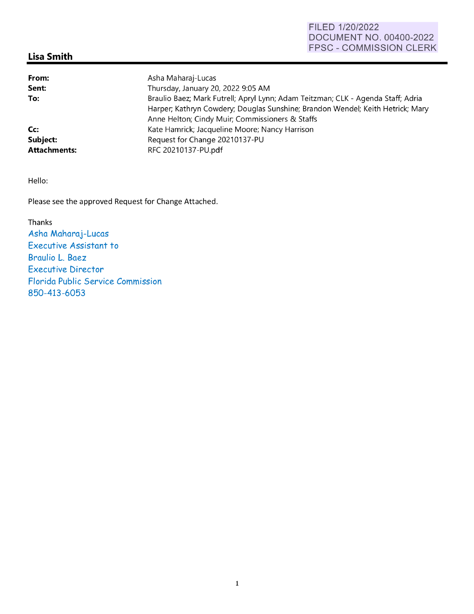## **Lisa Smith**

| From:               | Asha Maharaj-Lucas                                                               |
|---------------------|----------------------------------------------------------------------------------|
| Sent:               | Thursday, January 20, 2022 9:05 AM                                               |
| To:                 | Braulio Baez; Mark Futrell; Apryl Lynn; Adam Teitzman; CLK - Agenda Staff; Adria |
|                     | Harper; Kathryn Cowdery; Douglas Sunshine; Brandon Wendel; Keith Hetrick; Mary   |
|                     | Anne Helton; Cindy Muir; Commissioners & Staffs                                  |
| Cc:                 | Kate Hamrick; Jacqueline Moore; Nancy Harrison                                   |
| Subject:            | Request for Change 20210137-PU                                                   |
| <b>Attachments:</b> | RFC 20210137-PU.pdf                                                              |

Hello:

Please see the approved Request for Change Attached.

Thanks Asha Maharaj-Lucas Executive Assistant to Braulio L. Baez Executive Director Florida Public Service Commission 850-413-6053